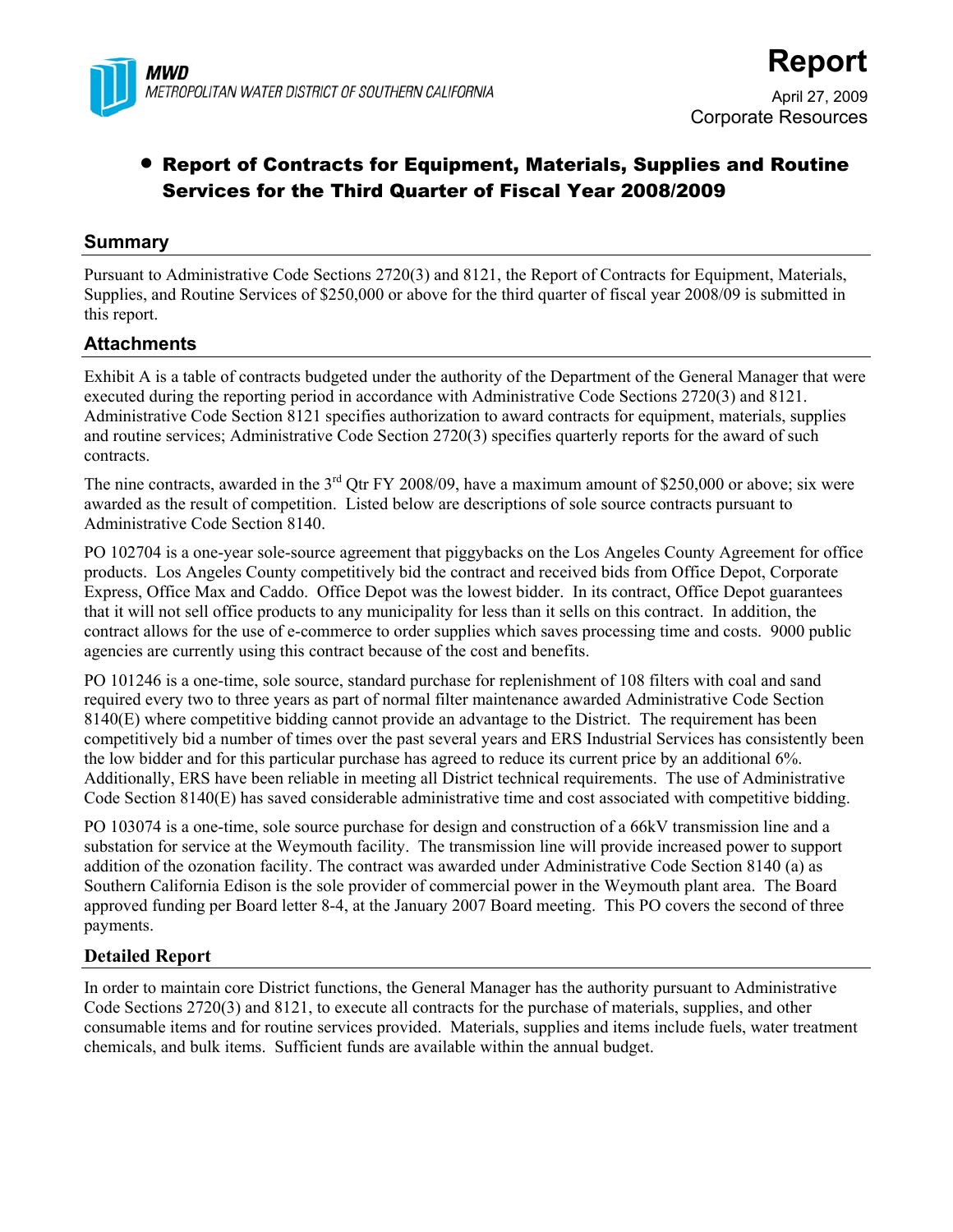

# • Report of Contracts for Equipment, Materials, Supplies and Routine Services for the Third Quarter of Fiscal Year 2008/2009

## **Summary**

Pursuant to Administrative Code Sections 2720(3) and 8121, the Report of Contracts for Equipment, Materials, Supplies, and Routine Services of \$250,000 or above for the third quarter of fiscal year 2008/09 is submitted in this report.

## **Attachments**

Exhibit A is a table of contracts budgeted under the authority of the Department of the General Manager that were executed during the reporting period in accordance with Administrative Code Sections 2720(3) and 8121. Administrative Code Section 8121 specifies authorization to award contracts for equipment, materials, supplies and routine services; Administrative Code Section 2720(3) specifies quarterly reports for the award of such contracts.

The nine contracts, awarded in the 3<sup>rd</sup> Qtr FY 2008/09, have a maximum amount of \$250,000 or above; six were awarded as the result of competition. Listed below are descriptions of sole source contracts pursuant to Administrative Code Section 8140.

PO 102704 is a one-year sole-source agreement that piggybacks on the Los Angeles County Agreement for office products. Los Angeles County competitively bid the contract and received bids from Office Depot, Corporate Express, Office Max and Caddo. Office Depot was the lowest bidder. In its contract, Office Depot guarantees that it will not sell office products to any municipality for less than it sells on this contract. In addition, the contract allows for the use of e-commerce to order supplies which saves processing time and costs. 9000 public agencies are currently using this contract because of the cost and benefits.

PO 101246 is a one-time, sole source, standard purchase for replenishment of 108 filters with coal and sand required every two to three years as part of normal filter maintenance awarded Administrative Code Section 8140(E) where competitive bidding cannot provide an advantage to the District. The requirement has been competitively bid a number of times over the past several years and ERS Industrial Services has consistently been the low bidder and for this particular purchase has agreed to reduce its current price by an additional 6%. Additionally, ERS have been reliable in meeting all District technical requirements. The use of Administrative Code Section 8140(E) has saved considerable administrative time and cost associated with competitive bidding.

PO 103074 is a one-time, sole source purchase for design and construction of a 66kV transmission line and a substation for service at the Weymouth facility. The transmission line will provide increased power to support addition of the ozonation facility. The contract was awarded under Administrative Code Section 8140 (a) as Southern California Edison is the sole provider of commercial power in the Weymouth plant area. The Board approved funding per Board letter 8-4, at the January 2007 Board meeting. This PO covers the second of three payments.

## **Detailed Report**

In order to maintain core District functions, the General Manager has the authority pursuant to Administrative Code Sections 2720(3) and 8121, to execute all contracts for the purchase of materials, supplies, and other consumable items and for routine services provided. Materials, supplies and items include fuels, water treatment chemicals, and bulk items. Sufficient funds are available within the annual budget.